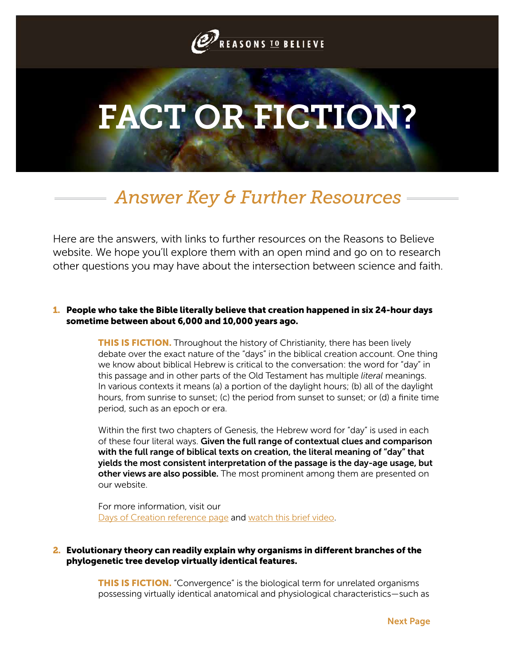

# FACT OR FICTION?

# *Answer Key & Further Resources*

Here are the answers, with links to further resources on the Reasons to Believe website. We hope you'll explore them with an open mind and go on to research other questions you may have about the intersection between science and faith.

# 1. People who take the Bible literally believe that creation happened in six 24-hour days sometime between about 6,000 and 10,000 years ago.

**THIS IS FICTION.** Throughout the history of Christianity, there has been lively debate over the exact nature of the "days" in the biblical creation account. One thing we know about biblical Hebrew is critical to the conversation: the word for "day" in this passage and in other parts of the Old Testament has multiple *literal* meanings. In various contexts it means (a) a portion of the daylight hours; (b) all of the daylight hours, from sunrise to sunset; (c) the period from sunset to sunset; or (d) a finite time period, such as an epoch or era.

Within the first two chapters of Genesis, the Hebrew word for "day" is used in each of these four literal ways. Given the full range of contextual clues and comparison with the full range of biblical texts on creation, the literal meaning of "day" that yields the most consistent interpretation of the passage is the day-age usage, but other views are also possible. The most prominent among them are presented on our website.

For more information, visit our [Days of Creation reference page](http://www.reasons.org/rtb-101/daysofcreation) and [watch this brief video](http://c4233792.r92.cf2.rackcdn.com/genesis1.mp4).

# 2. Evolutionary theory can readily explain why organisms in different branches of the phylogenetic tree develop virtually identical features.

**THIS IS FICTION.** "Convergence" is the biological term for unrelated organisms possessing virtually identical anatomical and physiological characteristics—such as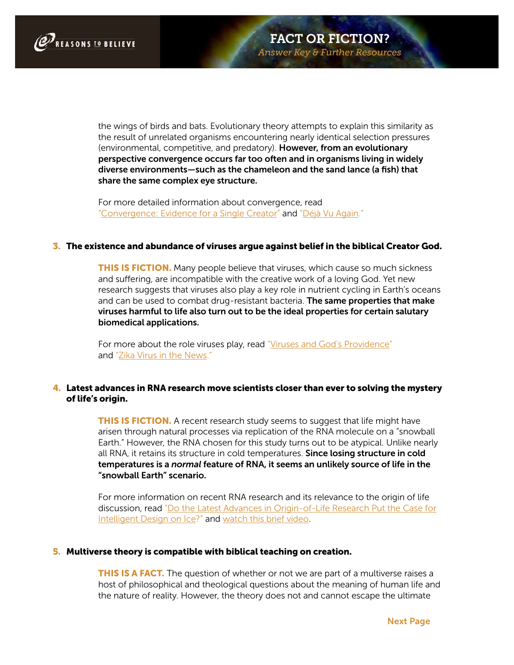

the wings of birds and bats. Evolutionary theory attempts to explain this similarity as the result of unrelated organisms encountering nearly identical selection pressures (environmental, competitive, and predatory). However, from an evolutionary perspective convergence occurs far too often and in organisms living in widely diverse environments—such as the chameleon and the sand lance (a fish) that share the same complex eye structure.

For more detailed information about convergence, read ["Convergence: Evidence for a Single Creator"](http://www.reasons.org/articles/convergence-evidence-for-a-single-creator) and ["Déjà Vu Again."](http://www.reasons.org/articles/deja-vu-again-part-1-of-2)

#### 3. The existence and abundance of viruses argue against belief in the biblical Creator God.

**THIS IS FICTION.** Many people believe that viruses, which cause so much sickness and suffering, are incompatible with the creative work of a loving God. Yet new research suggests that viruses also play a key role in nutrient cycling in Earth's oceans and can be used to combat drug-resistant bacteria. The same properties that make viruses harmful to life also turn out to be the ideal properties for certain salutary biomedical applications.

For more about the role viruses play, read ["Viruses and God's Providence"](http://www.reasons.org/articles/viruses-and-god-s-providence) and ["Zika Virus in the News."](http://www.reasons.org/articles/zika-virus-in-the-news)

# 4. Latest advances in RNA research move scientists closer than ever to solving the mystery of life's origin.

**THIS IS FICTION.** A recent research study seems to suggest that life might have arisen through natural processes via replication of the RNA molecule on a "snowball Earth." However, the RNA chosen for this study turns out to be atypical. Unlike nearly all RNA, it retains its structure in cold temperatures. Since losing structure in cold temperatures is a *normal* feature of RNA, it seems an unlikely source of life in the "snowball Earth" scenario.

For more information on recent RNA research and its relevance to the origin of life discussion, read ["Do the Latest Advances in Origin-of-Life Research Put the Case for](http://www.reasons.org/articles/do-the-latest-advances-in-origin-of-life-research-put-the-case-for-intelligent-design-on-ice) [Intelligent Design on Ice?"](http://www.reasons.org/articles/do-the-latest-advances-in-origin-of-life-research-put-the-case-for-intelligent-design-on-ice) and [watch this brief video.](http://www.reasons.org/videos/through-the-lens-evolution-origins-of-life-sd)

#### 5. Multiverse theory is compatible with biblical teaching on creation.

**THIS IS A FACT.** The question of whether or not we are part of a multiverse raises a host of philosophical and theological questions about the meaning of human life and the nature of reality. However, the theory does not and cannot escape the ultimate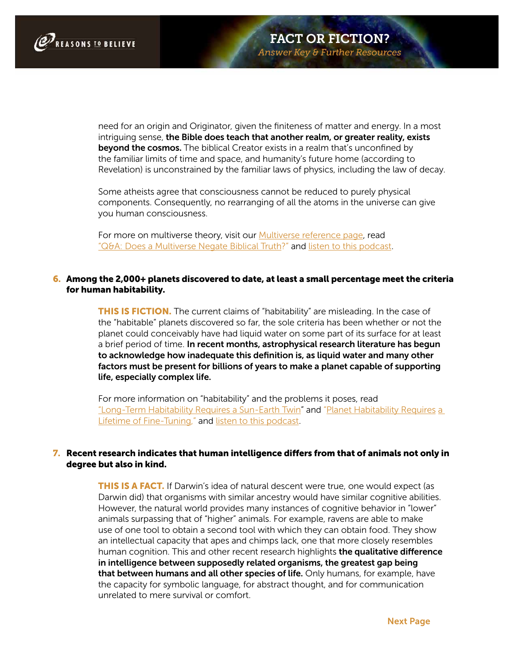

need for an origin and Originator, given the finiteness of matter and energy. In a most intriguing sense, the Bible does teach that another realm, or greater reality, exists beyond the cosmos. The biblical Creator exists in a realm that's unconfined by the familiar limits of time and space, and humanity's future home (according to Revelation) is unconstrained by the familiar laws of physics, including the law of decay.

Some atheists agree that consciousness cannot be reduced to purely physical components. Consequently, no rearranging of all the atoms in the universe can give you human consciousness.

For more on multiverse theory, visit our [Multiverse reference page,](http://www.reasons.org/rtb-101/multiverse) read ["Q&A: Does a Multiverse Negate Biblical Truth?"](http://www.reasons.org/articles/q-a-does-a-multiverse-negate-biblical-truth) and [listen to this podcast.](http://www.reasons.org/podcasts/straight-thinking/many-worlds-god-and-the-multiverse-theory) 

# 6. Among the 2,000+ planets discovered to date, at least a small percentage meet the criteria for human habitability.

**THIS IS FICTION.** The current claims of "habitability" are misleading. In the case of the "habitable" planets discovered so far, the sole criteria has been whether or not the planet could conceivably have had liquid water on some part of its surface for at least a brief period of time. In recent months, astrophysical research literature has begun to acknowledge how inadequate this definition is, as liquid water and many other factors must be present for billions of years to make a planet capable of supporting life, especially complex life.

For more information on "habitability" and the problems it poses, read ["Long-Term Habitability Requires a Sun-Earth Twin"](http://www.reasons.org/blogs/todays-new-reason-to-believe/long-term-habitability-requires-a-sun-earth-twin) and ["Planet Habitability Requires](http://www.reasons.org/articles/planet-habitability-requires-a-lifetime-of-fine-tuning) a [Lifetime of Fine-Tuning,"](http://www.reasons.org/articles/planet-habitability-requires-a-lifetime-of-fine-tuning) and [listen to this podcast](http://www.reasons.org/podcasts/science-news-flash/billions-of-habitable-planets).

# 7. Recent research indicates that human intelligence differs from that of animals not only in degree but also in kind.

**THIS IS A FACT.** If Darwin's idea of natural descent were true, one would expect (as Darwin did) that organisms with similar ancestry would have similar cognitive abilities. However, the natural world provides many instances of cognitive behavior in "lower" animals surpassing that of "higher" animals. For example, ravens are able to make use of one tool to obtain a second tool with which they can obtain food. They show an intellectual capacity that apes and chimps lack, one that more closely resembles human cognition. This and other recent research highlights the qualitative difference in intelligence between supposedly related organisms, the greatest gap being that between humans and all other species of life. Only humans, for example, have the capacity for symbolic language, for abstract thought, and for communication unrelated to mere survival or comfort.